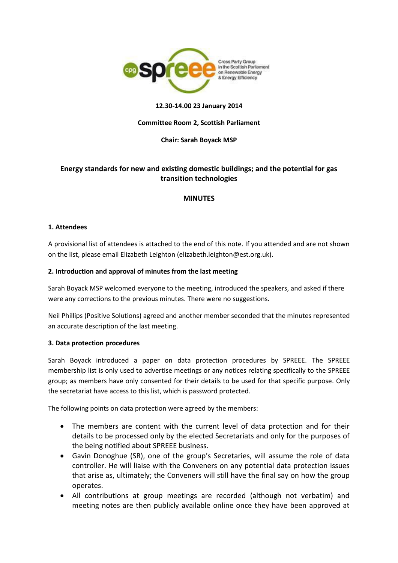

## **12.30-14.00 23 January 2014**

## **Committee Room 2, Scottish Parliament**

### **Chair: Sarah Boyack MSP**

# **Energy standards for new and existing domestic buildings; and the potential for gas transition technologies**

## **MINUTES**

### **1. Attendees**

A provisional list of attendees is attached to the end of this note. If you attended and are not shown on the list, please email Elizabeth Leighton (elizabeth.leighton@est.org.uk).

### **2. Introduction and approval of minutes from the last meeting**

Sarah Boyack MSP welcomed everyone to the meeting, introduced the speakers, and asked if there were any corrections to the previous minutes. There were no suggestions.

Neil Phillips (Positive Solutions) agreed and another member seconded that the minutes represented an accurate description of the last meeting.

### **3. Data protection procedures**

Sarah Boyack introduced a paper on data protection procedures by SPREEE. The SPREEE membership list is only used to advertise meetings or any notices relating specifically to the SPREEE group; as members have only consented for their details to be used for that specific purpose. Only the secretariat have access to this list, which is password protected.

The following points on data protection were agreed by the members:

- The members are content with the current level of data protection and for their details to be processed only by the elected Secretariats and only for the purposes of the being notified about SPREEE business.
- Gavin Donoghue (SR), one of the group's Secretaries, will assume the role of data controller. He will liaise with the Conveners on any potential data protection issues that arise as, ultimately; the Conveners will still have the final say on how the group operates.
- All contributions at group meetings are recorded (although not verbatim) and meeting notes are then publicly available online once they have been approved at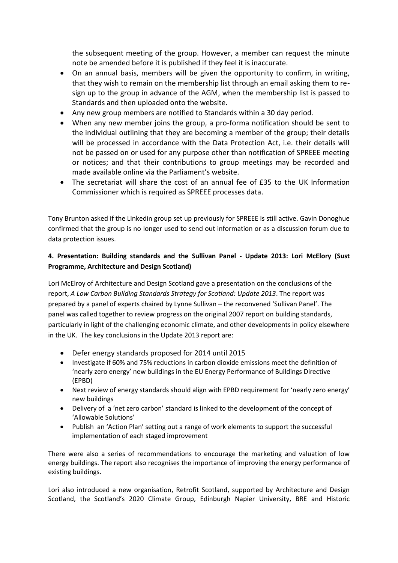the subsequent meeting of the group. However, a member can request the minute note be amended before it is published if they feel it is inaccurate.

- On an annual basis, members will be given the opportunity to confirm, in writing, that they wish to remain on the membership list through an email asking them to resign up to the group in advance of the AGM, when the membership list is passed to Standards and then uploaded onto the website.
- Any new group members are notified to Standards within a 30 day period.
- When any new member joins the group, a pro-forma notification should be sent to the individual outlining that they are becoming a member of the group; their details will be processed in accordance with the Data Protection Act, i.e. their details will not be passed on or used for any purpose other than notification of SPREEE meeting or notices; and that their contributions to group meetings may be recorded and made available online via the Parliament's website.
- The secretariat will share the cost of an annual fee of £35 to the UK Information Commissioner which is required as SPREEE processes data.

Tony Brunton asked if the Linkedin group set up previously for SPREEE is still active. Gavin Donoghue confirmed that the group is no longer used to send out information or as a discussion forum due to data protection issues.

# **4. Presentation: Building standards and the Sullivan Panel - Update 2013: Lori McElory (Sust Programme, Architecture and Design Scotland)**

Lori McElroy of Architecture and Design Scotland gave a presentation on the conclusions of the report, *A Low Carbon Building Standards Strategy for Scotland: Update 2013*. The report was prepared by a panel of experts chaired by Lynne Sullivan – the reconvened 'Sullivan Panel'. The panel was called together to review progress on the original 2007 report on building standards, particularly in light of the challenging economic climate, and other developments in policy elsewhere in the UK. The key conclusions in the Update 2013 report are:

- Defer energy standards proposed for 2014 until 2015
- Investigate if 60% and 75% reductions in carbon dioxide emissions meet the definition of 'nearly zero energy' new buildings in the EU Energy Performance of Buildings Directive (EPBD)
- Next review of energy standards should align with EPBD requirement for 'nearly zero energy' new buildings
- Delivery of a 'net zero carbon' standard is linked to the development of the concept of 'Allowable Solutions'
- Publish an 'Action Plan' setting out a range of work elements to support the successful implementation of each staged improvement

There were also a series of recommendations to encourage the marketing and valuation of low energy buildings. The report also recognises the importance of improving the energy performance of existing buildings.

Lori also introduced a new organisation, Retrofit Scotland, supported by Architecture and Design Scotland, the Scotland's 2020 Climate Group, Edinburgh Napier University, BRE and Historic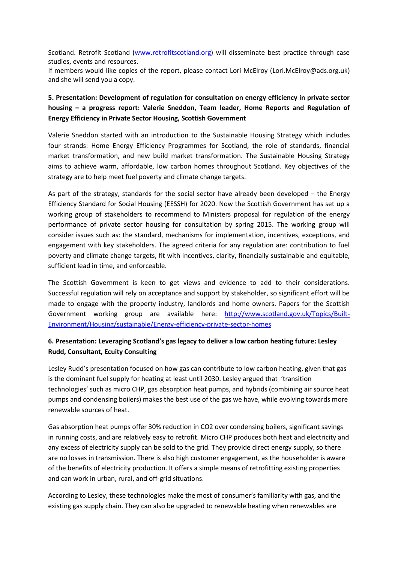Scotland. Retrofit Scotland [\(www.retrofitscotland.org\)](http://www.retrofitscotland.org/) will disseminate best practice through case studies, events and resources.

If members would like copies of the report, please contact Lori McElroy (Lori.McElroy@ads.org.uk) and she will send you a copy.

# **5. Presentation: Development of regulation for consultation on energy efficiency in private sector housing – a progress report: Valerie Sneddon, Team leader, Home Reports and Regulation of Energy Efficiency in Private Sector Housing, Scottish Government**

Valerie Sneddon started with an introduction to the Sustainable Housing Strategy which includes four strands: Home Energy Efficiency Programmes for Scotland, the role of standards, financial market transformation, and new build market transformation. The Sustainable Housing Strategy aims to achieve warm, affordable, low carbon homes throughout Scotland. Key objectives of the strategy are to help meet fuel poverty and climate change targets.

As part of the strategy, standards for the social sector have already been developed – the Energy Efficiency Standard for Social Housing (EESSH) for 2020. Now the Scottish Government has set up a working group of stakeholders to recommend to Ministers proposal for regulation of the energy performance of private sector housing for consultation by spring 2015. The working group will consider issues such as: the standard, mechanisms for implementation, incentives, exceptions, and engagement with key stakeholders. The agreed criteria for any regulation are: contribution to fuel poverty and climate change targets, fit with incentives, clarity, financially sustainable and equitable, sufficient lead in time, and enforceable.

The Scottish Government is keen to get views and evidence to add to their considerations. Successful regulation will rely on acceptance and support by stakeholder, so significant effort will be made to engage with the property industry, landlords and home owners. Papers for the Scottish Government working group are available here: [http://www.scotland.gov.uk/Topics/Built-](http://www.scotland.gov.uk/Topics/Built-Environment/Housing/sustainable/Energy-efficiency-private-sector-homes)[Environment/Housing/sustainable/Energy-efficiency-private-sector-homes](http://www.scotland.gov.uk/Topics/Built-Environment/Housing/sustainable/Energy-efficiency-private-sector-homes)

# **6. Presentation: Leveraging Scotland's gas legacy to deliver a low carbon heating future: Lesley Rudd, Consultant, Ecuity Consulting**

Lesley Rudd's presentation focused on how gas can contribute to low carbon heating, given that gas is the dominant fuel supply for heating at least until 2030. Lesley argued that 'transition technologies' such as micro CHP, gas absorption heat pumps, and hybrids (combining air source heat pumps and condensing boilers) makes the best use of the gas we have, while evolving towards more renewable sources of heat.

Gas absorption heat pumps offer 30% reduction in CO2 over condensing boilers, significant savings in running costs, and are relatively easy to retrofit. Micro CHP produces both heat and electricity and any excess of electricity supply can be sold to the grid. They provide direct energy supply, so there are no losses in transmission. There is also high customer engagement, as the householder is aware of the benefits of electricity production. It offers a simple means of retrofitting existing properties and can work in urban, rural, and off-grid situations.

According to Lesley, these technologies make the most of consumer's familiarity with gas, and the existing gas supply chain. They can also be upgraded to renewable heating when renewables are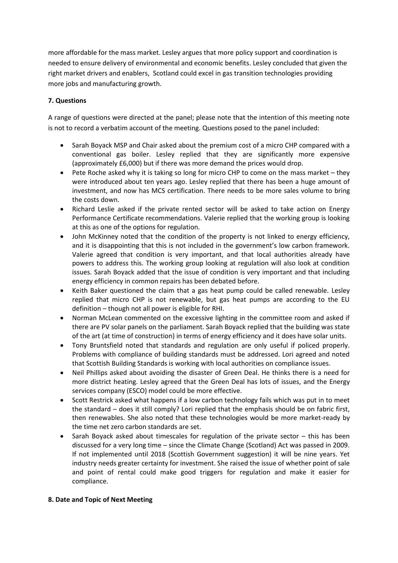more affordable for the mass market. Lesley argues that more policy support and coordination is needed to ensure delivery of environmental and economic benefits. Lesley concluded that given the right market drivers and enablers, Scotland could excel in gas transition technologies providing more jobs and manufacturing growth.

# **7. Questions**

A range of questions were directed at the panel; please note that the intention of this meeting note is not to record a verbatim account of the meeting. Questions posed to the panel included:

- Sarah Boyack MSP and Chair asked about the premium cost of a micro CHP compared with a conventional gas boiler. Lesley replied that they are significantly more expensive (approximately £6,000) but if there was more demand the prices would drop.
- Pete Roche asked why it is taking so long for micro CHP to come on the mass market they were introduced about ten years ago. Lesley replied that there has been a huge amount of investment, and now has MCS certification. There needs to be more sales volume to bring the costs down.
- Richard Leslie asked if the private rented sector will be asked to take action on Energy Performance Certificate recommendations. Valerie replied that the working group is looking at this as one of the options for regulation.
- John McKinney noted that the condition of the property is not linked to energy efficiency, and it is disappointing that this is not included in the government's low carbon framework. Valerie agreed that condition is very important, and that local authorities already have powers to address this. The working group looking at regulation will also look at condition issues. Sarah Boyack added that the issue of condition is very important and that including energy efficiency in common repairs has been debated before.
- Keith Baker questioned the claim that a gas heat pump could be called renewable. Lesley replied that micro CHP is not renewable, but gas heat pumps are according to the EU definition – though not all power is eligible for RHI.
- Norman McLean commented on the excessive lighting in the committee room and asked if there are PV solar panels on the parliament. Sarah Boyack replied that the building was state of the art (at time of construction) in terms of energy efficiency and it does have solar units.
- Tony Bruntsfield noted that standards and regulation are only useful if policed properly. Problems with compliance of building standards must be addressed. Lori agreed and noted that Scottish Building Standards is working with local authorities on compliance issues.
- Neil Phillips asked about avoiding the disaster of Green Deal. He thinks there is a need for more district heating. Lesley agreed that the Green Deal has lots of issues, and the Energy services company (ESCO) model could be more effective.
- Scott Restrick asked what happens if a low carbon technology fails which was put in to meet the standard – does it still comply? Lori replied that the emphasis should be on fabric first, then renewables. She also noted that these technologies would be more market-ready by the time net zero carbon standards are set.
- Sarah Boyack asked about timescales for regulation of the private sector this has been discussed for a very long time – since the Climate Change (Scotland) Act was passed in 2009. If not implemented until 2018 (Scottish Government suggestion) it will be nine years. Yet industry needs greater certainty for investment. She raised the issue of whether point of sale and point of rental could make good triggers for regulation and make it easier for compliance.

## **8. Date and Topic of Next Meeting**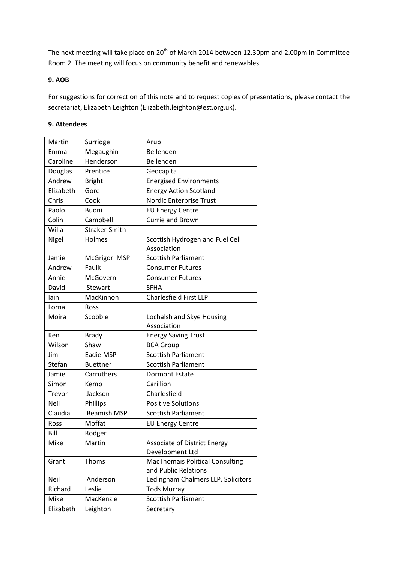The next meeting will take place on 20<sup>th</sup> of March 2014 between 12.30pm and 2.00pm in Committee Room 2. The meeting will focus on community benefit and renewables.

## **9. AOB**

For suggestions for correction of this note and to request copies of presentations, please contact the secretariat, Elizabeth Leighton (Elizabeth.leighton@est.org.uk).

## **9. Attendees**

| Martin           |                        |                                                |
|------------------|------------------------|------------------------------------------------|
|                  | Surridge               | Arup<br>Bellenden                              |
| Emma<br>Caroline | Megaughin<br>Henderson | Bellenden                                      |
| Douglas          | Prentice               | Geocapita                                      |
| Andrew           |                        |                                                |
| Elizabeth        | <b>Bright</b><br>Gore  | <b>Energised Environments</b>                  |
|                  | Cook                   | <b>Energy Action Scotland</b>                  |
| Chris<br>Paolo   |                        | Nordic Enterprise Trust                        |
|                  | <b>Buoni</b>           | <b>EU Energy Centre</b>                        |
| Colin            | Campbell               | <b>Currie and Brown</b>                        |
| Willa            | Straker-Smith          |                                                |
| Nigel            | Holmes                 | Scottish Hydrogen and Fuel Cell<br>Association |
| Jamie            | McGrigor MSP           | <b>Scottish Parliament</b>                     |
| Andrew           | Faulk                  | <b>Consumer Futures</b>                        |
| Annie            | McGovern               | <b>Consumer Futures</b>                        |
| David            | Stewart                | <b>SFHA</b>                                    |
| lain             | MacKinnon              | <b>Charlesfield First LLP</b>                  |
| Lorna            | Ross                   |                                                |
| Moira            | Scobbie                | Lochalsh and Skye Housing                      |
|                  |                        | Association                                    |
| Ken              | <b>Brady</b>           | <b>Energy Saving Trust</b>                     |
| Wilson           | Shaw                   | <b>BCA Group</b>                               |
| Jim              | Eadie MSP              | <b>Scottish Parliament</b>                     |
| Stefan           | <b>Buettner</b>        | <b>Scottish Parliament</b>                     |
| Jamie            | Carruthers             | <b>Dormont Estate</b>                          |
| Simon            | Kemp                   | Carillion                                      |
| Trevor           | Jackson                | Charlesfield                                   |
| <b>Neil</b>      | Phillips               | <b>Positive Solutions</b>                      |
| Claudia          | <b>Beamish MSP</b>     | <b>Scottish Parliament</b>                     |
| Ross             | Moffat                 | <b>EU Energy Centre</b>                        |
| Bill             | Rodger                 |                                                |
| Mike             | Martin                 | <b>Associate of District Energy</b>            |
|                  |                        | Development Ltd                                |
| Grant            | Thoms                  | <b>MacThomais Political Consulting</b>         |
|                  |                        | and Public Relations                           |
| Neil             | Anderson               | Ledingham Chalmers LLP, Solicitors             |
| Richard          | Leslie                 | <b>Tods Murray</b>                             |
| Mike             | MacKenzie              | <b>Scottish Parliament</b>                     |
| Elizabeth        | Leighton               | Secretary                                      |